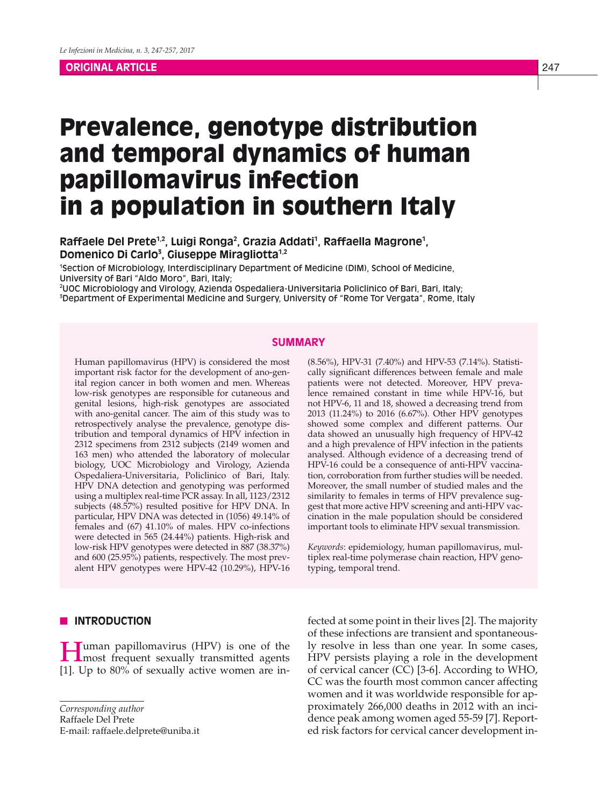## **ORIGINAL ARTICLE**

# Prevalence, genotype distribution and temporal dynamics of human papillomavirus infection in a population in southern Italy

# Raffaele Del Prete<sup>1,2</sup>, Luigi Ronga<sup>2</sup>, Grazia Addati<sup>1</sup>, Raffaella Magrone<sup>1</sup>, **Domenico Di Carlo3 , Giuseppe Miragliotta1,2**

1 Section of Microbiology, Interdisciplinary Department of Medicine (DIM), School of Medicine, University of Bari "Aldo Moro", Bari, Italy;

2 UOC Microbiology and Virology, Azienda Ospedaliera-Universitaria Policlinico of Bari, Bari, Italy; 3 Department of Experimental Medicine and Surgery, University of "Rome Tor Vergata", Rome, Italy

# **SUMMARY**

Human papillomavirus (HPV) is considered the most important risk factor for the development of ano-genital region cancer in both women and men. Whereas low-risk genotypes are responsible for cutaneous and genital lesions, high-risk genotypes are associated with ano-genital cancer. The aim of this study was to retrospectively analyse the prevalence, genotype distribution and temporal dynamics of HPV infection in 2312 specimens from 2312 subjects (2149 women and 163 men) who attended the laboratory of molecular biology, UOC Microbiology and Virology, Azienda Ospedaliera-Universitaria, Policlinico of Bari, Italy. HPV DNA detection and genotyping was performed using a multiplex real-time PCR assay. In all, 1123/2312 subjects (48.57%) resulted positive for HPV DNA. In particular, HPV DNA was detected in (1056) 49.14% of females and (67) 41.10% of males. HPV co-infections were detected in 565 (24.44%) patients. High-risk and low-risk HPV genotypes were detected in 887 (38.37%) and 600 (25.95%) patients, respectively. The most prevalent HPV genotypes were HPV-42 (10.29%), HPV-16

## (8.56%), HPV-31 (7.40%) and HPV-53 (7.14%). Statistically significant differences between female and male patients were not detected. Moreover, HPV prevalence remained constant in time while HPV-16, but not HPV-6, 11 and 18, showed a decreasing trend from 2013 (11.24%) to 2016 (6.67%). Other HPV genotypes showed some complex and different patterns. Our data showed an unusually high frequency of HPV-42 and a high prevalence of HPV infection in the patients analysed. Although evidence of a decreasing trend of HPV-16 could be a consequence of anti-HPV vaccination, corroboration from further studies will be needed. Moreover, the small number of studied males and the similarity to females in terms of HPV prevalence suggest that more active HPV screening and anti-HPV vaccination in the male population should be considered important tools to eliminate HPV sexual transmission.

*Keywords*: epidemiology, human papillomavirus, multiplex real-time polymerase chain reaction, HPV genotyping, temporal trend.

## **N** INTRODUCTION

Human papillomavirus (HPV) is one of the most frequent sexually transmitted agents [1]. Up to 80% of sexually active women are in-

*Corresponding author*

Raffaele Del Prete

E-mail: raffaele.delprete@uniba.it

fected at some point in their lives [2]. The majority of these infections are transient and spontaneously resolve in less than one year. In some cases, HPV persists playing a role in the development of cervical cancer (CC) [3-6]. According to WHO, CC was the fourth most common cancer affecting women and it was worldwide responsible for approximately 266,000 deaths in 2012 with an incidence peak among women aged 55-59 [7]. Reported risk factors for cervical cancer development in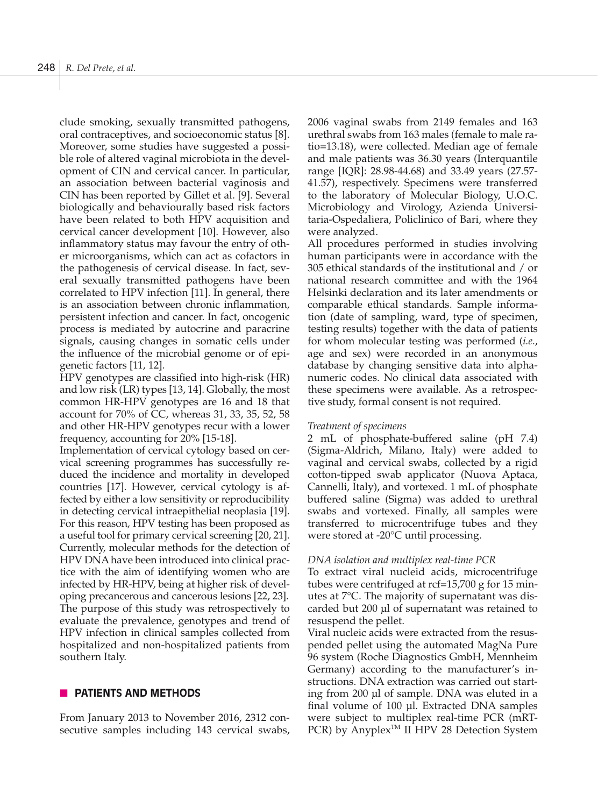clude smoking, sexually transmitted pathogens, oral contraceptives, and socioeconomic status [8]. Moreover, some studies have suggested a possible role of altered vaginal microbiota in the development of CIN and cervical cancer. In particular, an association between bacterial vaginosis and CIN has been reported by Gillet et al. [9]. Several biologically and behaviourally based risk factors have been related to both HPV acquisition and cervical cancer development [10]. However, also inflammatory status may favour the entry of other microorganisms, which can act as cofactors in the pathogenesis of cervical disease. In fact, several sexually transmitted pathogens have been correlated to HPV infection [11]. In general, there is an association between chronic inflammation, persistent infection and cancer. In fact, oncogenic process is mediated by autocrine and paracrine signals, causing changes in somatic cells under the influence of the microbial genome or of epigenetic factors [11, 12].

HPV genotypes are classified into high-risk (HR) and low risk (LR) types [13, 14]. Globally, the most common HR-HPV genotypes are 16 and 18 that account for 70% of CC, whereas 31, 33, 35, 52, 58 and other HR-HPV genotypes recur with a lower frequency, accounting for 20% [15-18].

Implementation of cervical cytology based on cervical screening programmes has successfully reduced the incidence and mortality in developed countries [17]. However, cervical cytology is affected by either a low sensitivity or reproducibility in detecting cervical intraepithelial neoplasia [19]. For this reason, HPV testing has been proposed as a useful tool for primary cervical screening [20, 21]. Currently, molecular methods for the detection of HPV DNA have been introduced into clinical practice with the aim of identifying women who are infected by HR-HPV, being at higher risk of developing precancerous and cancerous lesions [22, 23]. The purpose of this study was retrospectively to evaluate the prevalence, genotypes and trend of HPV infection in clinical samples collected from hospitalized and non-hospitalized patients from southern Italy.

## **PATIENTS AND METHODS**

From January 2013 to November 2016, 2312 consecutive samples including 143 cervical swabs, 2006 vaginal swabs from 2149 females and 163 urethral swabs from 163 males (female to male ratio=13.18), were collected. Median age of female and male patients was 36.30 years (Interquantile range [IQR]: 28.98-44.68) and 33.49 years (27.57- 41.57), respectively. Specimens were transferred to the laboratory of Molecular Biology, U.O.C. Microbiology and Virology, Azienda Universitaria-Ospedaliera, Policlinico of Bari, where they were analyzed.

All procedures performed in studies involving human participants were in accordance with the 305 ethical standards of the institutional and / or national research committee and with the 1964 Helsinki declaration and its later amendments or comparable ethical standards. Sample information (date of sampling, ward, type of specimen, testing results) together with the data of patients for whom molecular testing was performed (*i.e.*, age and sex) were recorded in an anonymous database by changing sensitive data into alphanumeric codes. No clinical data associated with these specimens were available. As a retrospective study, formal consent is not required.

## *Treatment of specimens*

2 mL of phosphate-buffered saline (pH 7.4) (Sigma-Aldrich, Milano, Italy) were added to vaginal and cervical swabs, collected by a rigid cotton-tipped swab applicator (Nuova Aptaca, Cannelli, Italy), and vortexed. 1 mL of phosphate buffered saline (Sigma) was added to urethral swabs and vortexed. Finally, all samples were transferred to microcentrifuge tubes and they were stored at -20°C until processing.

## *DNA isolation and multiplex real-time PCR*

To extract viral nucleid acids, microcentrifuge tubes were centrifuged at rcf=15,700 g for 15 minutes at 7°C. The majority of supernatant was discarded but 200 µl of supernatant was retained to resuspend the pellet.

Viral nucleic acids were extracted from the resuspended pellet using the automated MagNa Pure 96 system (Roche Diagnostics GmbH, Mennheim Germany) according to the manufacturer's instructions. DNA extraction was carried out starting from 200 µl of sample. DNA was eluted in a final volume of 100 µl. Extracted DNA samples were subject to multiplex real-time PCR (mRT-PCR) by Anyplex<sup>™</sup> II HPV 28 Detection System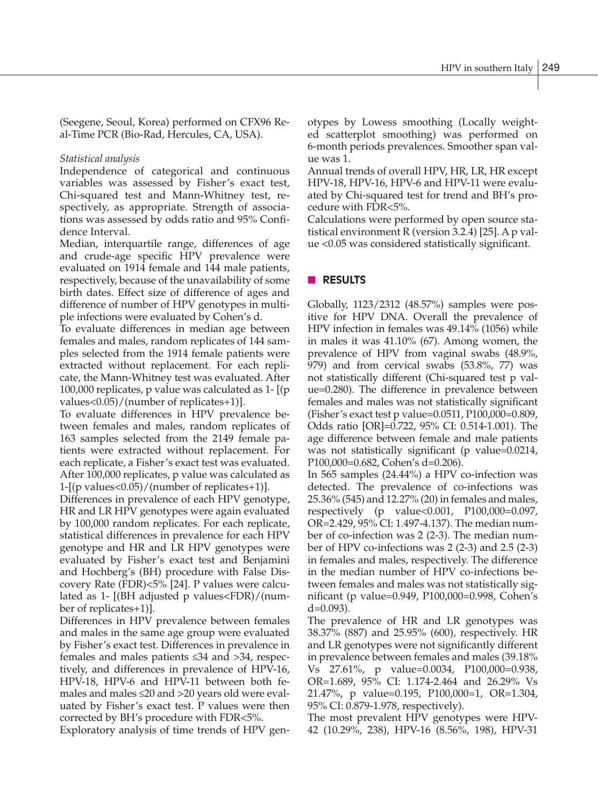(Seegene, Seoul, Korea) performed on CFX96 Real-Time PCR (Bio-Rad, Hercules, CA, USA).

## *Statistical analysis*

Independence of categorical and continuous variables was assessed by Fisher's exact test, Chi-squared test and Mann-Whitney test, respectively, as appropriate. Strength of associations was assessed by odds ratio and 95% Confidence Interval.

Median, interquartile range, differences of age and crude-age specific HPV prevalence were evaluated on 1914 female and 144 male patients, respectively, because of the unavailability of some birth dates. Effect size of difference of ages and difference of number of HPV genotypes in multiple infections were evaluated by Cohen's d.

To evaluate differences in median age between females and males, random replicates of 144 samples selected from the 1914 female patients were extracted without replacement. For each replicate, the Mann-Whitney test was evaluated. After 100,000 replicates, p value was calculated as 1- [(p values<0.05)/(number of replicates+1)].

To evaluate differences in HPV prevalence between females and males, random replicates of 163 samples selected from the 2149 female patients were extracted without replacement. For each replicate, a Fisher's exact test was evaluated. After 100,000 replicates, p value was calculated as 1-[(p values<0.05)/(number of replicates+1)].

Differences in prevalence of each HPV genotype, HR and LR HPV genotypes were again evaluated by 100,000 random replicates. For each replicate, statistical differences in prevalence for each HPV genotype and HR and LR HPV genotypes were evaluated by Fisher's exact test and Benjamini and Hochberg's (BH) procedure with False Discovery Rate (FDR)<5% [24]. P values were calculated as 1- [(BH adjusted p values<FDR)/(number of replicates+1)].

Differences in HPV prevalence between females and males in the same age group were evaluated by Fisher's exact test. Differences in prevalence in females and males patients ≤34 and >34, respectively, and differences in prevalence of HPV-16, HPV-18, HPV-6 and HPV-11 between both females and males ≤20 and >20 years old were evaluated by Fisher's exact test. P values were then corrected by BH's procedure with FDR<5%.

Exploratory analysis of time trends of HPV gen-

otypes by Lowess smoothing (Locally weighted scatterplot smoothing) was performed on 6-month periods prevalences. Smoother span value was 1.

Annual trends of overall HPV, HR, LR, HR except HPV-18, HPV-16, HPV-6 and HPV-11 were evaluated by Chi-squared test for trend and BH's procedure with FDR<5%.

Calculations were performed by open source statistical environment R (version 3.2.4) [25]. A p value <0.05 was considered statistically significant.

# **n RESULTS**

Globally, 1123/2312 (48.57%) samples were positive for HPV DNA. Overall the prevalence of HPV infection in females was 49.14% (1056) while in males it was 41.10% (67). Among women, the prevalence of HPV from vaginal swabs (48.9%, 979) and from cervical swabs (53.8%, 77) was not statistically different (Chi-squared test p value=0.280). The difference in prevalence between females and males was not statistically significant (Fisher's exact test p value=0.0511, P100,000=0.809, Odds ratio [OR]=0.722, 95% CI: 0.514-1.001). The age difference between female and male patients was not statistically significant (p value=0.0214, P100,000=0.682, Cohen's d=0.206).

In 565 samples (24.44%) a HPV co-infection was detected. The prevalence of co-infections was 25.36% (545) and 12.27% (20) in females and males, respectively (p value<0.001, P100,000=0.097, OR=2.429, 95% CI: 1.497-4.137). The median number of co-infection was 2 (2-3). The median number of HPV co-infections was 2 (2-3) and 2.5 (2-3) in females and males, respectively. The difference in the median number of HPV co-infections between females and males was not statistically significant (p value=0.949, P100,000=0.998, Cohen's d=0.093).

The prevalence of HR and LR genotypes was 38.37% (887) and 25.95% (600), respectively. HR and LR genotypes were not significantly different in prevalence between females and males (39.18% Vs 27.61%, p value=0.0034, P100,000=0.938, OR=1.689, 95% CI: 1.174-2.464 and 26.29% Vs 21.47%, p value=0.195, P100,000=1, OR=1.304, 95% CI: 0.879-1.978, respectively).

The most prevalent HPV genotypes were HPV-42 (10.29%, 238), HPV-16 (8.56%, 198), HPV-31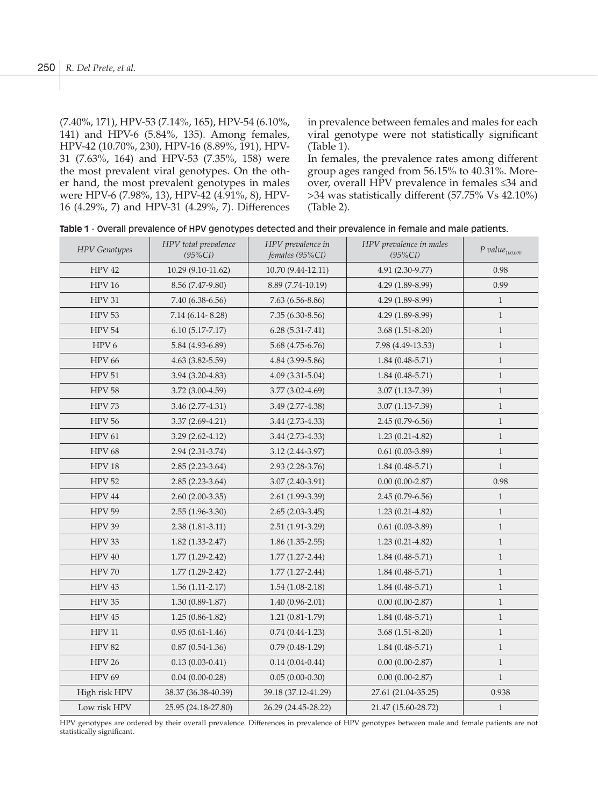(7.40%, 171), HPV-53 (7.14%, 165), HPV-54 (6.10%, 141) and HPV-6 (5.84%, 135). Among females, HPV-42 (10.70%, 230), HPV-16 (8.89%, 191), HPV-31 (7.63%, 164) and HPV-53 (7.35%, 158) were the most prevalent viral genotypes. On the other hand, the most prevalent genotypes in males were HPV-6 (7.98%, 13), HPV-42 (4.91%, 8), HPV-16 (4.29%, 7) and HPV-31 (4.29%, 7). Differences in prevalence between females and males for each viral genotype were not statistically significant (Table 1).

In females, the prevalence rates among different group ages ranged from 56.15% to 40.31%. Moreover, overall HPV prevalence in females ≤34 and >34 was statistically different (57.75% Vs 42.10%) (Table 2).

|  |  | Table 1 - Overall prevalence of HPV genotypes detected and their prevalence in female and male patients. |  |  |  |  |  |  |  |  |  |
|--|--|----------------------------------------------------------------------------------------------------------|--|--|--|--|--|--|--|--|--|
|--|--|----------------------------------------------------------------------------------------------------------|--|--|--|--|--|--|--|--|--|

| <b>HPV</b> Genotypes | HPV total prevalence<br>$(95\%CI)$ | HPV prevalence in<br>females (95%CI) | HPV prevalence in males<br>$(95\%CI)$ | $P$ value $_{100,000}$ |
|----------------------|------------------------------------|--------------------------------------|---------------------------------------|------------------------|
| <b>HPV 42</b>        | 10.29 (9.10-11.62)                 | 10.70 (9.44-12.11)                   | 4.91 (2.30-9.77)                      | 0.98                   |
| <b>HPV 16</b>        | 8.56 (7.47-9.80)                   | 8.89 (7.74-10.19)                    | 4.29 (1.89-8.99)                      | 0.99                   |
| <b>HPV 31</b>        | 7.40 (6.38-6.56)                   | $7.63(6.56 - 8.86)$                  | 4.29 (1.89-8.99)                      | $\mathbf{1}$           |
| <b>HPV 53</b>        | $7.14(6.14 - 8.28)$                | $7.35(6.30-8.56)$                    | 4.29 (1.89-8.99)                      | $\mathbf{1}$           |
| <b>HPV 54</b>        | $6.10(5.17 - 7.17)$                | $6.28(5.31 - 7.41)$                  | $3.68(1.51-8.20)$                     | $\mathbf{1}$           |
| HPV <sub>6</sub>     | 5.84 (4.93-6.89)                   | $5.68(4.75-6.76)$                    | 7.98 (4.49-13.53)                     | $\mathbf{1}$           |
| <b>HPV 66</b>        | $4.63(3.82 - 5.59)$                | 4.84 (3.99-5.86)                     | $1.84(0.48-5.71)$                     | $\mathbf{1}$           |
| <b>HPV 51</b>        | $3.94(3.20-4.83)$                  | $4.09(3.31 - 5.04)$                  | $1.84(0.48 - 5.71)$                   | $\mathbf{1}$           |
| <b>HPV 58</b>        | $3.72(3.00-4.59)$                  | $3.77(3.02 - 4.69)$                  | $3.07(1.13 - 7.39)$                   | $\mathbf{1}$           |
| <b>HPV 73</b>        | $3.46(2.77-4.31)$                  | 3.49 (2.77-4.38)                     | $3.07(1.13 - 7.39)$                   | $\mathbf{1}$           |
| <b>HPV 56</b>        | $3.37(2.69 - 4.21)$                | $3.44(2.73-4.33)$                    | $2.45(0.79-6.56)$                     | $\mathbf{1}$           |
| <b>HPV 61</b>        | $3.29(2.62 - 4.12)$                | $3.44(2.73-4.33)$                    | $1.23(0.21-4.82)$                     | $\mathbf{1}$           |
| <b>HPV 68</b>        | 2.94 (2.31-3.74)                   | $3.12(2.44 - 3.97)$                  | $0.61(0.03-3.89)$                     | $\mathbf{1}$           |
| <b>HPV 18</b>        | $2.85(2.23-3.64)$                  | $2.93(2.28-3.76)$                    | $1.84(0.48 - 5.71)$                   | $\mathbf{1}$           |
| <b>HPV 52</b>        | $2.85(2.23-3.64)$                  | $3.07(2.40-3.91)$                    | $0.00(0.00-2.87)$                     | 0.98                   |
| HPV 44               | $2.60(2.00-3.35)$                  | 2.61 (1.99-3.39)                     | $2.45(0.79-6.56)$                     | $\mathbf{1}$           |
| <b>HPV 59</b>        | $2.55(1.96-3.30)$                  | $2.65(2.03-3.45)$                    | $1.23(0.21-4.82)$                     | $\mathbf{1}$           |
| HPV 39               | $2.38(1.81-3.11)$                  | $2.51(1.91-3.29)$                    | $0.61(0.03-3.89)$                     | $\mathbf{1}$           |
| HPV 33               | $1.82(1.33 - 2.47)$                | $1.86(1.35-2.55)$                    | $1.23(0.21-4.82)$                     | $\mathbf{1}$           |
| HPV 40               | $1.77(1.29-2.42)$                  | $1.77(1.27-2.44)$                    | $1.84(0.48 - 5.71)$                   | $\mathbf{1}$           |
| <b>HPV 70</b>        | $1.77(1.29-2.42)$                  | $1.77(1.27-2.44)$                    | $1.84(0.48 - 5.71)$                   | $\mathbf{1}$           |
| HPV 43               | $1.56(1.11-2.17)$                  | $1.54(1.08-2.18)$                    | $1.84(0.48-5.71)$                     | $\mathbf{1}$           |
| HPV 35               | $1.30(0.89-1.87)$                  | $1.40(0.96 - 2.01)$                  | $0.00(0.00-2.87)$                     | $\mathbf{1}$           |
| HPV 45               | $1.25(0.86-1.82)$                  | $1.21(0.81-1.79)$                    | $1.84(0.48-5.71)$                     | $\mathbf{1}$           |
| <b>HPV 11</b>        | $0.95(0.61-1.46)$                  | $0.74(0.44-1.23)$                    | $3.68(1.51 - 8.20)$                   | $\mathbf{1}$           |
| <b>HPV 82</b>        | $0.87(0.54-1.36)$                  | $0.79(0.48-1.29)$                    | $1.84(0.48 - 5.71)$                   | $\mathbf{1}$           |
| <b>HPV 26</b>        | $0.13(0.03-0.41)$                  | $0.14(0.04 - 0.44)$                  | $0.00(0.00-2.87)$                     | $\mathbf{1}$           |
| <b>HPV 69</b>        | $0.04(0.00-0.28)$                  | $0.05(0.00-0.30)$                    | $0.00(0.00-2.87)$                     | $\mathbf{1}$           |
| High risk HPV        | 38.37 (36.38-40.39)                | 39.18 (37.12-41.29)                  | 27.61 (21.04-35.25)                   | 0.938                  |
| Low risk HPV         | 25.95 (24.18-27.80)                | 26.29 (24.45-28.22)                  | 21.47 (15.60-28.72)                   | $\mathbf{1}$           |

HPV genotypes are ordered by their overall prevalence. Differences in prevalence of HPV genotypes between male and female patients are not statistically significant.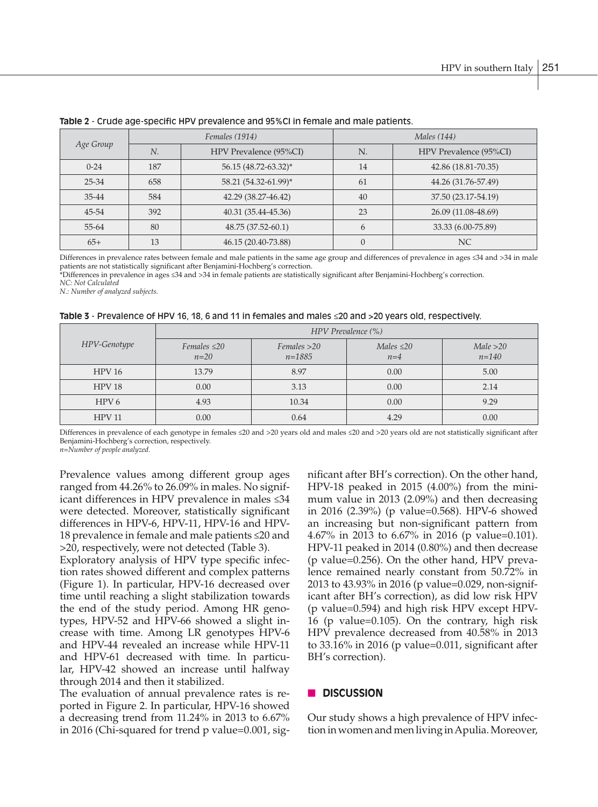| Age Group |     | Females (1914)         | <i>Males</i> (144) |                        |  |
|-----------|-----|------------------------|--------------------|------------------------|--|
|           | N.  | HPV Prevalence (95%CI) | N.                 | HPV Prevalence (95%CI) |  |
| $0 - 24$  | 187 | 56.15 (48.72-63.32)*   | 14                 | 42.86 (18.81-70.35)    |  |
| 25-34     | 658 | 58.21 (54.32-61.99)*   |                    | 44.26 (31.76-57.49)    |  |
| 35-44     | 584 | 42.29 (38.27-46.42)    | 40                 | 37.50 (23.17-54.19)    |  |
| 45-54     | 392 | 40.31 (35.44-45.36)    | 23                 | 26.09 (11.08-48.69)    |  |
| 55-64     | 80  | 48.75 (37.52-60.1)     |                    | 33.33 (6.00-75.89)     |  |
| $65+$     | 13  | 46.15 (20.40-73.88)    | 0                  | NC                     |  |

## **Table 2** - Crude age-specific HPV prevalence and 95%CI in female and male patients.

Differences in prevalence rates between female and male patients in the same age group and differences of prevalence in ages ≤34 and >34 in male patients are not statistically significant after Benjamini-Hochberg's correction.

\*Differences in prevalence in ages ≤34 and >34 in female patients are statistically significant after Benjamini-Hochberg's correction.

*NC: Not Calculated*

*N.: Number of analyzed subjects.*

|  |  | Table 3 - Prevalence of HPV 16, 18, 6 and 11 in females and males $\leq$ 20 and >20 years old, respectively. |
|--|--|--------------------------------------------------------------------------------------------------------------|
|--|--|--------------------------------------------------------------------------------------------------------------|

|                   | HPV Prevalence (%)          |                                       |                          |                        |  |  |  |
|-------------------|-----------------------------|---------------------------------------|--------------------------|------------------------|--|--|--|
| HPV-Genotype      | Females $\leq$ 20<br>$n=20$ | $F$ <i>emales</i> $>20$<br>$n = 1885$ | Males $\leq$ 20<br>$n=4$ | Male > 20<br>$n = 140$ |  |  |  |
| HPV16             | 13.79                       | 8.97                                  | 0.00                     | 5.00                   |  |  |  |
| HPV <sub>18</sub> | 0.00                        | 3.13                                  | 0.00                     | 2.14                   |  |  |  |
| HPV <sub>6</sub>  | 4.93                        | 10.34                                 | 0.00                     | 9.29                   |  |  |  |
| <b>HPV 11</b>     | 0.00                        | 0.64                                  | 4.29                     | 0.00                   |  |  |  |

Differences in prevalence of each genotype in females ≤20 and >20 years old and males ≤20 and >20 years old are not statistically significant after Benjamini-Hochberg's correction, respectively.

*n=Number of people analyzed.*

Prevalence values among different group ages ranged from 44.26% to 26.09% in males. No significant differences in HPV prevalence in males ≤34 were detected. Moreover, statistically significant differences in HPV-6, HPV-11, HPV-16 and HPV-18 prevalence in female and male patients ≤20 and >20, respectively, were not detected (Table 3).

Exploratory analysis of HPV type specific infection rates showed different and complex patterns (Figure 1). In particular, HPV-16 decreased over time until reaching a slight stabilization towards the end of the study period. Among HR genotypes, HPV-52 and HPV-66 showed a slight increase with time. Among LR genotypes HPV-6 and HPV-44 revealed an increase while HPV-11 and HPV-61 decreased with time. In particular, HPV-42 showed an increase until halfway through 2014 and then it stabilized.

The evaluation of annual prevalence rates is reported in Figure 2. In particular, HPV-16 showed a decreasing trend from 11.24% in 2013 to 6.67% in 2016 (Chi-squared for trend p value=0.001, significant after BH's correction). On the other hand, HPV-18 peaked in 2015 (4.00%) from the minimum value in 2013 (2.09%) and then decreasing in 2016 (2.39%) (p value=0.568). HPV-6 showed an increasing but non-significant pattern from 4.67% in 2013 to 6.67% in 2016 (p value=0.101). HPV-11 peaked in 2014 (0.80%) and then decrease (p value=0.256). On the other hand, HPV prevalence remained nearly constant from 50.72% in 2013 to 43.93% in 2016 (p value=0.029, non-significant after BH's correction), as did low risk HPV (p value=0.594) and high risk HPV except HPV-16 (p value=0.105). On the contrary, high risk HPV prevalence decreased from 40.58% in 2013 to 33.16% in 2016 (p value=0.011, significant after BH's correction).

# **n** DISCUSSION

Our study shows a high prevalence of HPV infection in women and men living in Apulia. Moreover,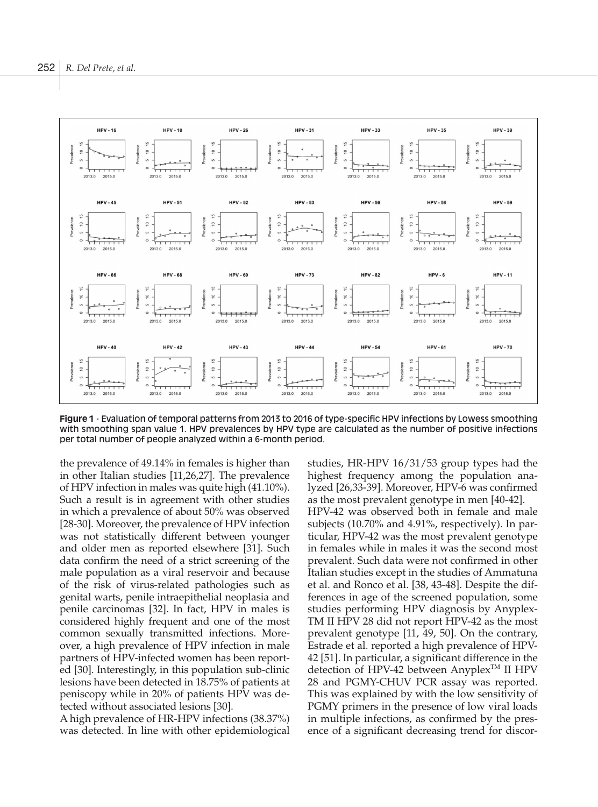

**Figure 1** - Evaluation of temporal patterns from 2013 to 2016 of type-specific HPV infections by Lowess smoothing with smoothing span value 1. HPV prevalences by HPV type are calculated as the number of positive infections per total number of people analyzed within a 6-month period.

the prevalence of 49.14% in females is higher than in other Italian studies [11,26,27]. The prevalence of HPV infection in males was quite high (41.10%). Such a result is in agreement with other studies in which a prevalence of about 50% was observed [28-30]. Moreover, the prevalence of HPV infection was not statistically different between younger and older men as reported elsewhere [31]. Such data confirm the need of a strict screening of the male population as a viral reservoir and because of the risk of virus-related pathologies such as genital warts, penile intraepithelial neoplasia and penile carcinomas [32]. In fact, HPV in males is considered highly frequent and one of the most common sexually transmitted infections. Moreover, a high prevalence of HPV infection in male partners of HPV-infected women has been reported [30]. Interestingly, in this population sub-clinic lesions have been detected in 18.75% of patients at peniscopy while in 20% of patients HPV was detected without associated lesions [30].

A high prevalence of HR-HPV infections (38.37%) was detected. In line with other epidemiological studies, HR-HPV 16/31/53 group types had the highest frequency among the population analyzed [26,33-39]. Moreover, HPV-6 was confirmed as the most prevalent genotype in men [40-42]. HPV-42 was observed both in female and male subjects (10.70% and 4.91%, respectively). In particular, HPV-42 was the most prevalent genotype in females while in males it was the second most prevalent. Such data were not confirmed in other Italian studies except in the studies of Ammatuna et al. and Ronco et al. [38, 43-48]. Despite the differences in age of the screened population, some

studies performing HPV diagnosis by Anyplex-TM II HPV 28 did not report HPV-42 as the most prevalent genotype [11, 49, 50]. On the contrary, Estrade et al. reported a high prevalence of HPV-42 [51]. In particular, a significant difference in the detection of HPV-42 between Anyplex<sup>TM</sup> II HPV 28 and PGMY-CHUV PCR assay was reported. This was explained by with the low sensitivity of PGMY primers in the presence of low viral loads in multiple infections, as confirmed by the presence of a significant decreasing trend for discor-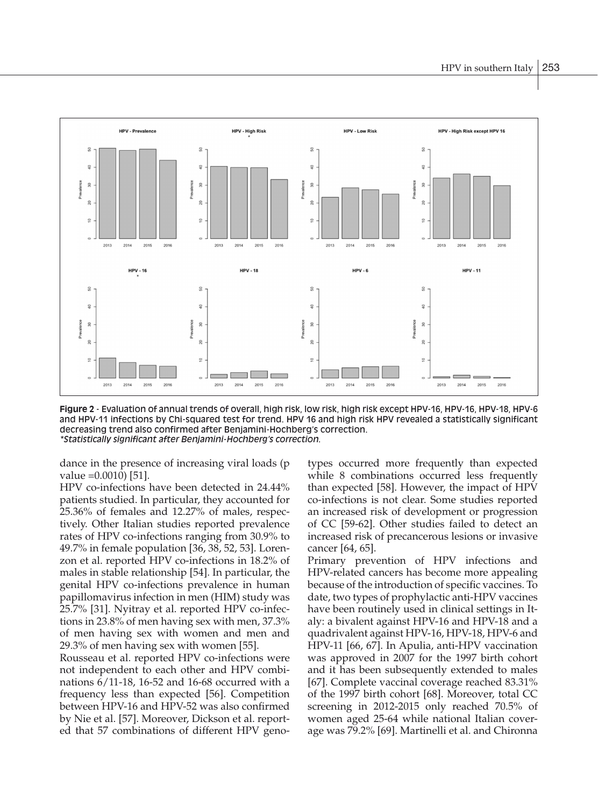

**Figure 2** - Evaluation of annual trends of overall, high risk, low risk, high risk except HPV-16, HPV-16, HPV-18, HPV-6 and HPV-11 infections by Chi-squared test for trend. HPV 16 and high risk HPV revealed a statistically significant decreasing trend also confirmed after Benjamini-Hochberg's correction. *\*Statistically significant after Benjamini-Hochberg's correction.*

dance in the presence of increasing viral loads (p value =0.0010) [51].

HPV co-infections have been detected in 24.44% patients studied. In particular, they accounted for 25.36% of females and 12.27% of males, respectively. Other Italian studies reported prevalence rates of HPV co-infections ranging from 30.9% to 49.7% in female population [36, 38, 52, 53]. Lorenzon et al. reported HPV co-infections in 18.2% of males in stable relationship [54]. In particular, the genital HPV co-infections prevalence in human papillomavirus infection in men (HIM) study was 25.7% [31]. Nyitray et al. reported HPV co-infections in 23.8% of men having sex with men, 37.3% of men having sex with women and men and 29.3% of men having sex with women [55].

Rousseau et al. reported HPV co-infections were not independent to each other and HPV combinations 6/11-18, 16-52 and 16-68 occurred with a frequency less than expected [56]. Competition between HPV-16 and HPV-52 was also confirmed by Nie et al. [57]. Moreover, Dickson et al. reported that 57 combinations of different HPV genotypes occurred more frequently than expected while 8 combinations occurred less frequently than expected [58]. However, the impact of HPV co-infections is not clear. Some studies reported an increased risk of development or progression of CC [59-62]. Other studies failed to detect an increased risk of precancerous lesions or invasive cancer [64, 65].

Primary prevention of HPV infections and HPV-related cancers has become more appealing because of the introduction of specific vaccines. To date, two types of prophylactic anti-HPV vaccines have been routinely used in clinical settings in Italy: a bivalent against HPV-16 and HPV-18 and a quadrivalent against HPV-16, HPV-18, HPV-6 and HPV-11 [66, 67]. In Apulia, anti-HPV vaccination was approved in 2007 for the 1997 birth cohort and it has been subsequently extended to males [67]. Complete vaccinal coverage reached 83.31% of the 1997 birth cohort [68]. Moreover, total CC screening in 2012-2015 only reached 70.5% of women aged 25-64 while national Italian coverage was 79.2% [69]. Martinelli et al. and Chironna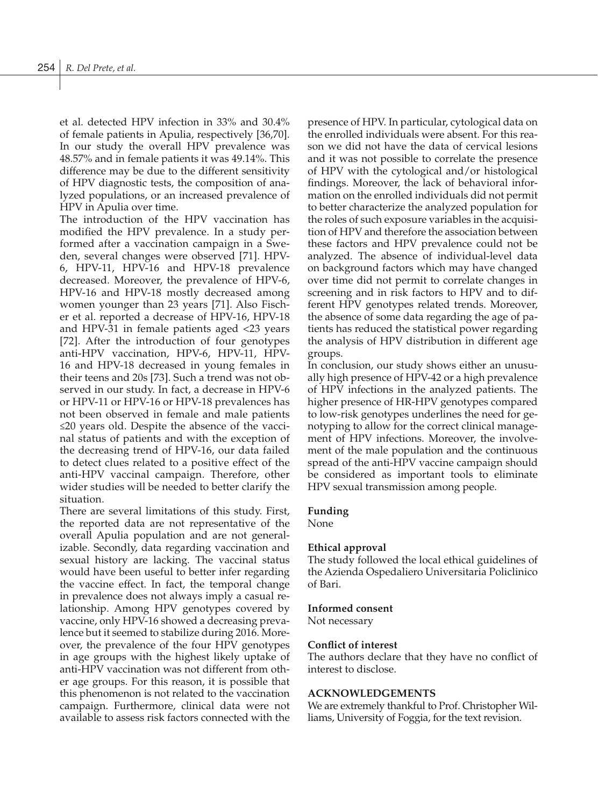et al. detected HPV infection in 33% and 30.4% of female patients in Apulia, respectively [36,70]. In our study the overall HPV prevalence was 48.57% and in female patients it was 49.14%. This difference may be due to the different sensitivity of HPV diagnostic tests, the composition of analyzed populations, or an increased prevalence of HPV in Apulia over time.

The introduction of the HPV vaccination has modified the HPV prevalence. In a study performed after a vaccination campaign in a Sweden, several changes were observed [71]. HPV-6, HPV-11, HPV-16 and HPV-18 prevalence decreased. Moreover, the prevalence of HPV-6, HPV-16 and HPV-18 mostly decreased among women younger than 23 years [71]. Also Fischer et al. reported a decrease of HPV-16, HPV-18 and HPV-31 in female patients aged <23 years [72]. After the introduction of four genotypes anti-HPV vaccination, HPV-6, HPV-11, HPV-16 and HPV-18 decreased in young females in their teens and 20s [73]. Such a trend was not observed in our study. In fact, a decrease in HPV-6 or HPV-11 or HPV-16 or HPV-18 prevalences has not been observed in female and male patients ≤20 years old. Despite the absence of the vaccinal status of patients and with the exception of the decreasing trend of HPV-16, our data failed to detect clues related to a positive effect of the anti-HPV vaccinal campaign. Therefore, other wider studies will be needed to better clarify the situation.

There are several limitations of this study. First, the reported data are not representative of the overall Apulia population and are not generalizable. Secondly, data regarding vaccination and sexual history are lacking. The vaccinal status would have been useful to better infer regarding the vaccine effect. In fact, the temporal change in prevalence does not always imply a casual relationship. Among HPV genotypes covered by vaccine, only HPV-16 showed a decreasing prevalence but it seemed to stabilize during 2016. Moreover, the prevalence of the four HPV genotypes in age groups with the highest likely uptake of anti-HPV vaccination was not different from other age groups. For this reason, it is possible that this phenomenon is not related to the vaccination campaign. Furthermore, clinical data were not available to assess risk factors connected with the

presence of HPV. In particular, cytological data on the enrolled individuals were absent. For this reason we did not have the data of cervical lesions and it was not possible to correlate the presence of HPV with the cytological and/or histological findings. Moreover, the lack of behavioral information on the enrolled individuals did not permit to better characterize the analyzed population for the roles of such exposure variables in the acquisition of HPV and therefore the association between these factors and HPV prevalence could not be analyzed. The absence of individual-level data on background factors which may have changed over time did not permit to correlate changes in screening and in risk factors to HPV and to different HPV genotypes related trends. Moreover, the absence of some data regarding the age of patients has reduced the statistical power regarding the analysis of HPV distribution in different age groups.

In conclusion, our study shows either an unusually high presence of HPV-42 or a high prevalence of HPV infections in the analyzed patients. The higher presence of HR-HPV genotypes compared to low-risk genotypes underlines the need for genotyping to allow for the correct clinical management of HPV infections. Moreover, the involvement of the male population and the continuous spread of the anti-HPV vaccine campaign should be considered as important tools to eliminate HPV sexual transmission among people.

## **Funding**

None

## **Ethical approval**

The study followed the local ethical guidelines of the Azienda Ospedaliero Universitaria Policlinico of Bari.

## **Informed consent**

Not necessary

## **Conflict of interest**

The authors declare that they have no conflict of interest to disclose.

# **ACKNOWLEDGEMENTS**

We are extremely thankful to Prof. Christopher Williams, University of Foggia, for the text revision.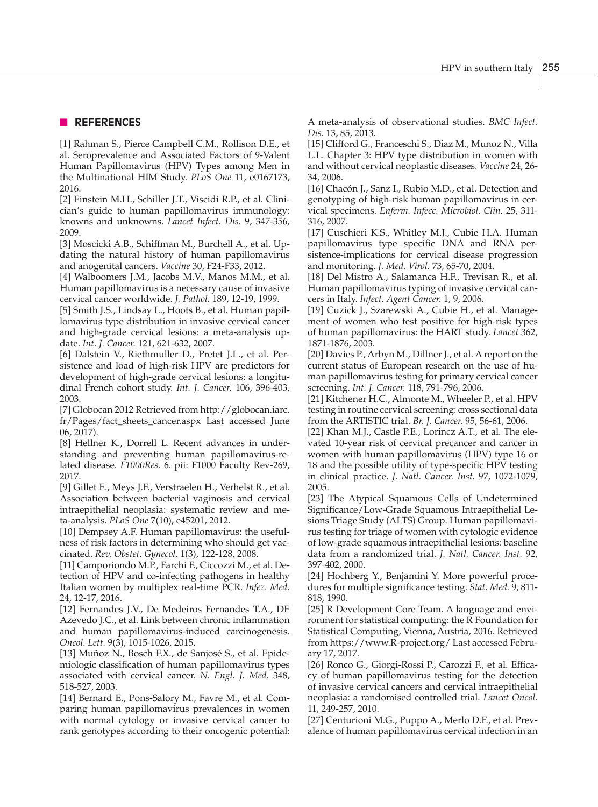# n **REFERENCES**

[1] Rahman S., Pierce Campbell C.M., Rollison D.E., et al. Seroprevalence and Associated Factors of 9-Valent Human Papillomavirus (HPV) Types among Men in the Multinational HIM Study. *PLoS One* 11, e0167173, 2016.

[2] Einstein M.H., Schiller J.T., Viscidi R.P., et al. Clinician's guide to human papillomavirus immunology: knowns and unknowns. *Lancet Infect. Dis.* 9, 347-356, 2009.

[3] Moscicki A.B., Schiffman M., Burchell A., et al. Updating the natural history of human papillomavirus and anogenital cancers. *Vaccine* 30, F24-F33, 2012.

[4] Walboomers J.M., Jacobs M.V., Manos M.M., et al. Human papillomavirus is a necessary cause of invasive cervical cancer worldwide. *J. Pathol.* 189, 12-19, 1999.

[5] Smith J.S., Lindsay L., Hoots B., et al. Human papillomavirus type distribution in invasive cervical cancer and high-grade cervical lesions: a meta-analysis update. *Int. J. Cancer.* 121, 621-632, 2007.

[6] Dalstein V., Riethmuller D., Pretet J.L., et al. Persistence and load of high-risk HPV are predictors for development of high-grade cervical lesions: a longitudinal French cohort study. *Int. J. Cancer.* 106, 396-403, 2003.

[7] Globocan 2012 Retrieved from http://globocan.iarc. fr/Pages/fact\_sheets\_cancer.aspx Last accessed June 06, 2017).

[8] Hellner K., Dorrell L. Recent advances in understanding and preventing human papillomavirus-related disease. *F1000Res.* 6. pii: F1000 Faculty Rev-269, 2017.

[9] Gillet E., Meys J.F., Verstraelen H., Verhelst R., et al. Association between bacterial vaginosis and cervical intraepithelial neoplasia: systematic review and meta-analysis. *PLoS One* 7(10), e45201, 2012.

[10] Dempsey A.F. Human papillomavirus: the usefulness of risk factors in determining who should get vaccinated. *Rev. Obstet. Gynecol*. 1(3), 122-128, 2008.

[11] Camporiondo M.P., Farchi F., Ciccozzi M., et al. Detection of HPV and co-infecting pathogens in healthy Italian women by multiplex real-time PCR. *Infez. Med.* 24, 12-17, 2016.

[12] Fernandes J.V., De Medeiros Fernandes T.A., DE Azevedo J.C., et al. Link between chronic inflammation and human papillomavirus-induced carcinogenesis. *Oncol. Lett.* 9(3), 1015-1026, 2015.

[13] Muñoz N., Bosch F.X., de Sanjosé S., et al. Epidemiologic classification of human papillomavirus types associated with cervical cancer. *N. Engl. J. Med.* 348, 518-527, 2003.

[14] Bernard E., Pons-Salory M., Favre M., et al. Comparing human papillomavirus prevalences in women with normal cytology or invasive cervical cancer to rank genotypes according to their oncogenic potential: A meta-analysis of observational studies. *BMC Infect. Dis.* 13, 85, 2013.

[15] Clifford G., Franceschi S., Diaz M., Munoz N., Villa L.L. Chapter 3: HPV type distribution in women with and without cervical neoplastic diseases. *Vaccine* 24, 26- 34, 2006.

[16] Chacón J., Sanz I., Rubio M.D., et al. Detection and genotyping of high-risk human papillomavirus in cervical specimens. *Enferm. Infecc. Microbiol. Clin.* 25, 311- 316, 2007.

[17] Cuschieri K.S., Whitley M.J., Cubie H.A. Human papillomavirus type specific DNA and RNA persistence-implications for cervical disease progression and monitoring. *J. Med. Virol.* 73, 65-70, 2004.

[18] Del Mistro A., Salamanca H.F., Trevisan R., et al. Human papillomavirus typing of invasive cervical cancers in Italy. *Infect. Agent Cancer.* 1, 9, 2006.

[19] Cuzick J., Szarewski A., Cubie H., et al. Management of women who test positive for high-risk types of human papillomavirus: the HART study. *Lancet* 362, 1871-1876, 2003.

[20] Davies P., Arbyn M., Dillner J., et al. A report on the current status of European research on the use of human papillomavirus testing for primary cervical cancer screening. *Int. J. Cancer.* 118, 791-796, 2006.

[21] Kitchener H.C., Almonte M., Wheeler P., et al. HPV testing in routine cervical screening: cross sectional data from the ARTISTIC trial. *Br. J. Cancer.* 95, 56-61, 2006.

[22] Khan M.J., Castle P.E., Lorincz A.T., et al. The elevated 10-year risk of cervical precancer and cancer in women with human papillomavirus (HPV) type 16 or 18 and the possible utility of type-specific HPV testing in clinical practice. *J. Natl. Cancer. Inst.* 97, 1072-1079, 2005.

[23] The Atypical Squamous Cells of Undetermined Significance/Low-Grade Squamous Intraepithelial Lesions Triage Study (ALTS) Group. Human papillomavirus testing for triage of women with cytologic evidence of low-grade squamous intraepithelial lesions: baseline data from a randomized trial. *J. Natl. Cancer. Inst.* 92, 397-402, 2000.

[24] Hochberg Y., Benjamini Y. More powerful procedures for multiple significance testing. *Stat. Med.* 9, 811- 818, 1990.

[25] R Development Core Team. A language and environment for statistical computing: the R Foundation for Statistical Computing, Vienna, Austria, 2016. Retrieved from https://www.R-project.org/ Last accessed February 17, 2017.

[26] Ronco G., Giorgi-Rossi P., Carozzi F., et al. Efficacy of human papillomavirus testing for the detection of invasive cervical cancers and cervical intraepithelial neoplasia: a randomised controlled trial. *Lancet Oncol.* 11, 249-257, 2010.

[27] Centurioni M.G., Puppo A., Merlo D.F., et al. Prevalence of human papillomavirus cervical infection in an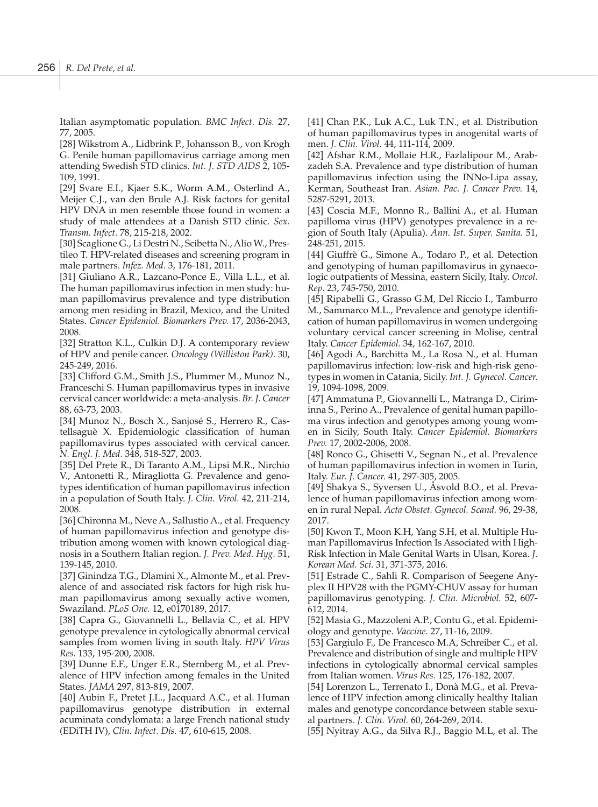Italian asymptomatic population. *BMC Infect. Dis.* 27, 77, 2005.

[28] Wikstrom A., Lidbrink P., Johansson B., von Krogh G. Penile human papillomavirus carriage among men attending Swedish STD clinics. *Int. J. STD AIDS* 2, 105- 109, 1991.

[29] Svare E.I., Kjaer S.K., Worm A.M., Osterlind A., Meijer C.J., van den Brule A.J. Risk factors for genital HPV DNA in men resemble those found in women: a study of male attendees at a Danish STD clinic. *Sex. Transm. Infect.* 78, 215-218, 2002.

[30] Scaglione G., Li Destri N., Scibetta N., Alio W., Prestileo T. HPV-related diseases and screening program in male partners. *Infez. Med.* 3, 176-181, 2011.

[31] Giuliano A.R., Lazcano-Ponce E., Villa L.L., et al. The human papillomavirus infection in men study: human papillomavirus prevalence and type distribution among men residing in Brazil, Mexico, and the United States. *Cancer Epidemiol. Biomarkers Prev.* 17, 2036-2043, 2008.

[32] Stratton K.L., Culkin D.J. A contemporary review of HPV and penile cancer. *Oncology (Williston Park)*. 30, 245-249, 2016.

[33] Clifford G.M., Smith J.S., Plummer M., Munoz N., Franceschi S. Human papillomavirus types in invasive cervical cancer worldwide: a meta-analysis. *Br. J. Cancer* 88, 63-73, 2003.

[34] Munoz N., Bosch X., Sanjosé S., Herrero R., Castellsaguè X. Epidemiologic classification of human papillomavirus types associated with cervical cancer. *N. Engl. J. Med.* 348, 518-527, 2003.

[35] Del Prete R., Di Taranto A.M., Lipsi M.R., Nirchio V., Antonetti R., Miragliotta G. Prevalence and genotypes identification of human papillomavirus infection in a population of South Italy. *J. Clin. Virol.* 42, 211-214, 2008.

[36] Chironna M., Neve A., Sallustio A., et al. Frequency of human papillomavirus infection and genotype distribution among women with known cytological diagnosis in a Southern Italian region. *J. Prev. Med. Hyg.* 51, 139-145, 2010.

[37] Ginindza T.G., Dlamini X., Almonte M., et al. Prevalence of and associated risk factors for high risk human papillomavirus among sexually active women, Swaziland. *PLoS One.* 12, e0170189, 2017.

[38] Capra G., Giovannelli L., Bellavia C., et al. HPV genotype prevalence in cytologically abnormal cervical samples from women living in south Italy. *HPV Virus Res.* 133, 195-200, 2008.

[39] Dunne E.F., Unger E.R., Sternberg M., et al. Prevalence of HPV infection among females in the United States. *JAMA* 297, 813-819, 2007.

[40] Aubin F., Pretet J.L., Jacquard A.C., et al. Human papillomavirus genotype distribution in external acuminata condylomata: a large French national study (EDiTH IV), *Clin. Infect. Dis.* 47, 610-615, 2008.

[41] Chan P.K., Luk A.C., Luk T.N., et al. Distribution of human papillomavirus types in anogenital warts of men. *J. Clin. Virol.* 44, 111-114, 2009.

[42] Afshar R.M., Mollaie H.R., Fazlalipour M., Arabzadeh S.A. Prevalence and type distribution of human papillomavirus infection using the INNo-Lipa assay, Kerman, Southeast Iran. *Asian. Pac. J. Cancer Prev.* 14, 5287-5291, 2013.

[43] Coscia M.F., Monno R., Ballini A., et al. Human papilloma virus (HPV) genotypes prevalence in a region of South Italy (Apulia). *Ann. Ist. Super. Sanita.* 51, 248-251, 2015.

[44] Giuffrè G., Simone A., Todaro P., et al. Detection and genotyping of human papillomavirus in gynaecologic outpatients of Messina, eastern Sicily, Italy. *Oncol. Rep.* 23, 745-750, 2010.

[45] Ripabelli G., Grasso G.M, Del Riccio I., Tamburro M., Sammarco M.L., Prevalence and genotype identification of human papillomavirus in women undergoing voluntary cervical cancer screening in Molise, central Italy. *Cancer Epidemiol.* 34, 162-167, 2010.

[46] Agodi A., Barchitta M., La Rosa N., et al. Human papillomavirus infection: low-risk and high-risk genotypes in women in Catania, Sicily. *Int. J. Gynecol. Cancer.* 19, 1094-1098, 2009.

[47] Ammatuna P., Giovannelli L., Matranga D., Ciriminna S., Perino A., Prevalence of genital human papilloma virus infection and genotypes among young women in Sicily, South Italy. *Cancer Epidemiol. Biomarkers Prev.* 17, 2002-2006, 2008.

[48] Ronco G., Ghisetti V., Segnan N., et al. Prevalence of human papillomavirus infection in women in Turin, Italy. *Eur. J. Cancer.* 41, 297-305, 2005.

[49] Shakya S., Syversen U., Åsvold B.O., et al. Prevalence of human papillomavirus infection among women in rural Nepal. *Acta Obstet. Gynecol. Scand.* 96, 29-38, 2017.

[50] Kwon T., Moon K.H, Yang S.H, et al. Multiple Human Papillomavirus Infection Is Associated with High-Risk Infection in Male Genital Warts in Ulsan, Korea. *J. Korean Med. Sci.* 31, 371-375, 2016.

[51] Estrade C., Sahli R. Comparison of Seegene Anyplex II HPV28 with the PGMY-CHUV assay for human papillomavirus genotyping. *J. Clin. Microbiol.* 52, 607- 612, 2014.

[52] Masia G., Mazzoleni A.P., Contu G., et al. Epidemiology and genotype. *Vaccine.* 27, 11-16, 2009.

[53] Gargiulo F., De Francesco M.A, Schreiber C., et al. Prevalence and distribution of single and multiple HPV infections in cytologically abnormal cervical samples from Italian women. *Virus Res.* 125, 176-182, 2007.

[54] Lorenzon L., Terrenato I., Donà M.G., et al. Prevalence of HPV infection among clinically healthy Italian males and genotype concordance between stable sexual partners. *J. Clin. Virol.* 60, 264-269, 2014.

[55] Nyitray A.G., da Silva R.J., Baggio M.L, et al. The